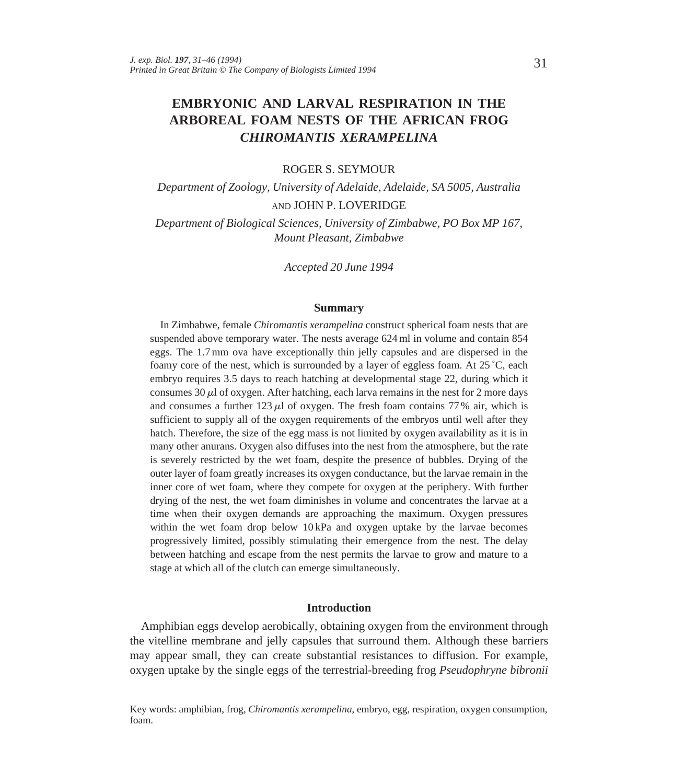# **EMBRYONIC AND LARVAL RESPIRATION IN THE ARBOREAL FOAM NESTS OF THE AFRICAN FROG** *CHIROMANTIS XERAMPELINA*

# ROGER S. SEYMOUR

*Department of Zoology, University of Adelaide, Adelaide, SA 5005, Australia* AND JOHN P. LOVERIDGE

*Department of Biological Sciences, University of Zimbabwe, PO Box MP 167, Mount Pleasant, Zimbabwe*

*Accepted 20 June 1994*

#### **Summary**

In Zimbabwe, female *Chiromantis xerampelina* construct spherical foam nests that are suspended above temporary water. The nests average 624 ml in volume and contain 854 eggs. The 1.7 mm ova have exceptionally thin jelly capsules and are dispersed in the foamy core of the nest, which is surrounded by a layer of eggless foam. At 25 ˚C, each embryo requires 3.5 days to reach hatching at developmental stage 22, during which it consumes 30  $\mu$  of oxygen. After hatching, each larva remains in the nest for 2 more days and consumes a further  $123 \mu$  of oxygen. The fresh foam contains 77% air, which is sufficient to supply all of the oxygen requirements of the embryos until well after they hatch. Therefore, the size of the egg mass is not limited by oxygen availability as it is in many other anurans. Oxygen also diffuses into the nest from the atmosphere, but the rate is severely restricted by the wet foam, despite the presence of bubbles. Drying of the outer layer of foam greatly increases its oxygen conductance, but the larvae remain in the inner core of wet foam, where they compete for oxygen at the periphery. With further drying of the nest, the wet foam diminishes in volume and concentrates the larvae at a time when their oxygen demands are approaching the maximum. Oxygen pressures within the wet foam drop below 10 kPa and oxygen uptake by the larvae becomes progressively limited, possibly stimulating their emergence from the nest. The delay between hatching and escape from the nest permits the larvae to grow and mature to a stage at which all of the clutch can emerge simultaneously.

### **Introduction**

Amphibian eggs develop aerobically, obtaining oxygen from the environment through the vitelline membrane and jelly capsules that surround them. Although these barriers may appear small, they can create substantial resistances to diffusion. For example, oxygen uptake by the single eggs of the terrestrial-breeding frog *Pseudophryne bibronii*

Key words: amphibian, frog, *Chiromantis xerampelina*, embryo, egg, respiration, oxygen consumption, foam.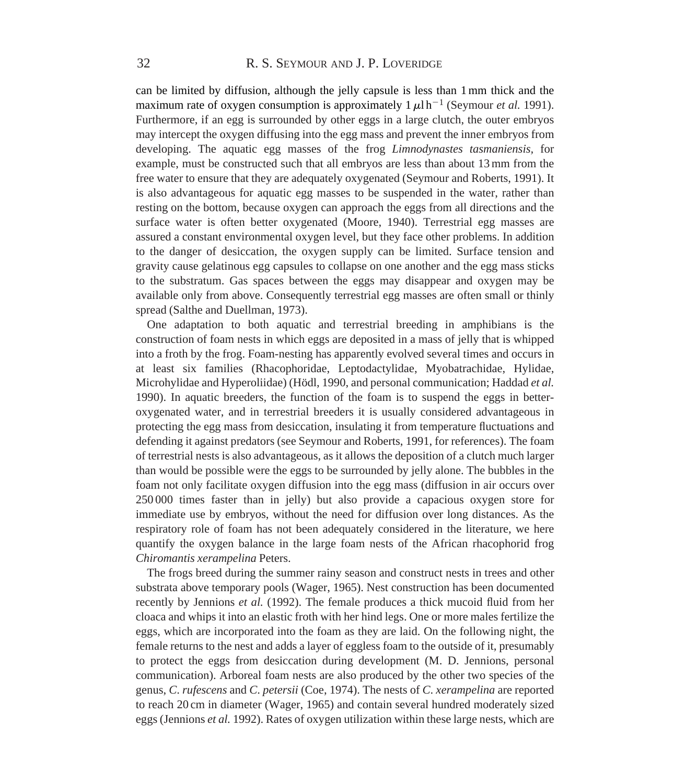can be limited by diffusion, although the jelly capsule is less than 1mm thick and the maximum rate of oxygen consumption is approximately  $1 \mu \ln^{-1}$  (Seymour *et al.* 1991). Furthermore, if an egg is surrounded by other eggs in a large clutch, the outer embryos may intercept the oxygen diffusing into the egg mass and prevent the inner embryos from developing. The aquatic egg masses of the frog *Limnodynastes tasmaniensis,* for example, must be constructed such that all embryos are less than about 13mm from the free water to ensure that they are adequately oxygenated (Seymour and Roberts, 1991). It is also advantageous for aquatic egg masses to be suspended in the water, rather than resting on the bottom, because oxygen can approach the eggs from all directions and the surface water is often better oxygenated (Moore, 1940). Terrestrial egg masses are assured a constant environmental oxygen level, but they face other problems. In addition to the danger of desiccation, the oxygen supply can be limited. Surface tension and gravity cause gelatinous egg capsules to collapse on one another and the egg mass sticks to the substratum. Gas spaces between the eggs may disappear and oxygen may be available only from above. Consequently terrestrial egg masses are often small or thinly spread (Salthe and Duellman, 1973).

One adaptation to both aquatic and terrestrial breeding in amphibians is the construction of foam nests in which eggs are deposited in a mass of jelly that is whipped into a froth by the frog. Foam-nesting has apparently evolved several times and occurs in at least six families (Rhacophoridae, Leptodactylidae, Myobatrachidae, Hylidae, Microhylidae and Hyperoliidae) (Hödl, 1990, and personal communication; Haddad *et al.* 1990). In aquatic breeders, the function of the foam is to suspend the eggs in betteroxygenated water, and in terrestrial breeders it is usually considered advantageous in protecting the egg mass from desiccation, insulating it from temperature fluctuations and defending it against predators (see Seymour and Roberts, 1991, for references). The foam of terrestrial nests is also advantageous, as it allows the deposition of a clutch much larger than would be possible were the eggs to be surrounded by jelly alone. The bubbles in the foam not only facilitate oxygen diffusion into the egg mass (diffusion in air occurs over 250 000 times faster than in jelly) but also provide a capacious oxygen store for immediate use by embryos, without the need for diffusion over long distances. As the respiratory role of foam has not been adequately considered in the literature, we here quantify the oxygen balance in the large foam nests of the African rhacophorid frog *Chiromantis xerampelina* Peters.

The frogs breed during the summer rainy season and construct nests in trees and other substrata above temporary pools (Wager, 1965). Nest construction has been documented recently by Jennions *et al.* (1992). The female produces a thick mucoid fluid from her cloaca and whips it into an elastic froth with her hind legs. One or more males fertilize the eggs, which are incorporated into the foam as they are laid. On the following night, the female returns to the nest and adds a layer of eggless foam to the outside of it, presumably to protect the eggs from desiccation during development (M. D. Jennions, personal communication). Arboreal foam nests are also produced by the other two species of the genus, *C*. *rufescens* and *C*. *petersii* (Coe, 1974). The nests of *C*. *xerampelina* are reported to reach 20 cm in diameter (Wager, 1965) and contain several hundred moderately sized eggs (Jennions *et al.* 1992). Rates of oxygen utilization within these large nests, which are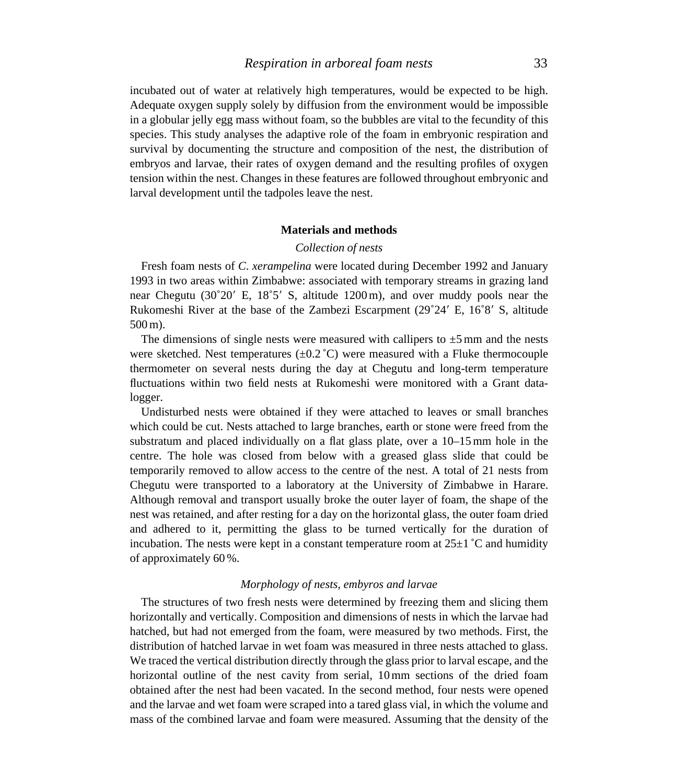incubated out of water at relatively high temperatures, would be expected to be high. Adequate oxygen supply solely by diffusion from the environment would be impossible in a globular jelly egg mass without foam, so the bubbles are vital to the fecundity of this species. This study analyses the adaptive role of the foam in embryonic respiration and survival by documenting the structure and composition of the nest, the distribution of embryos and larvae, their rates of oxygen demand and the resulting profiles of oxygen tension within the nest. Changes in these features are followed throughout embryonic and larval development until the tadpoles leave the nest.

# **Materials and methods**

# *Collection of nests*

Fresh foam nests of *C*. *xerampelina* were located during December 1992 and January 1993 in two areas within Zimbabwe: associated with temporary streams in grazing land near Chegutu ( $30^{\circ}20'$  E,  $18^{\circ}5'$  S, altitude 1200 m), and over muddy pools near the Rukomeshi River at the base of the Zambezi Escarpment  $(29°24' E, 16°8' S,$  altitude 500m).

The dimensions of single nests were measured with callipers to  $\pm 5$  mm and the nests were sketched. Nest temperatures  $(\pm 0.2 \degree C)$  were measured with a Fluke thermocouple thermometer on several nests during the day at Chegutu and long-term temperature fluctuations within two field nests at Rukomeshi were monitored with a Grant datalogger.

Undisturbed nests were obtained if they were attached to leaves or small branches which could be cut. Nests attached to large branches, earth or stone were freed from the substratum and placed individually on a flat glass plate, over a 10–15mm hole in the centre. The hole was closed from below with a greased glass slide that could be temporarily removed to allow access to the centre of the nest. A total of 21 nests from Chegutu were transported to a laboratory at the University of Zimbabwe in Harare. Although removal and transport usually broke the outer layer of foam, the shape of the nest was retained, and after resting for a day on the horizontal glass, the outer foam dried and adhered to it, permitting the glass to be turned vertically for the duration of incubation. The nests were kept in a constant temperature room at  $25\pm1$  °C and humidity of approximately 60 %.

# *Morphology of nests, embyros and larvae*

The structures of two fresh nests were determined by freezing them and slicing them horizontally and vertically. Composition and dimensions of nests in which the larvae had hatched, but had not emerged from the foam, were measured by two methods. First, the distribution of hatched larvae in wet foam was measured in three nests attached to glass. We traced the vertical distribution directly through the glass prior to larval escape, and the horizontal outline of the nest cavity from serial, 10mm sections of the dried foam obtained after the nest had been vacated. In the second method, four nests were opened and the larvae and wet foam were scraped into a tared glass vial, in which the volume and mass of the combined larvae and foam were measured. Assuming that the density of the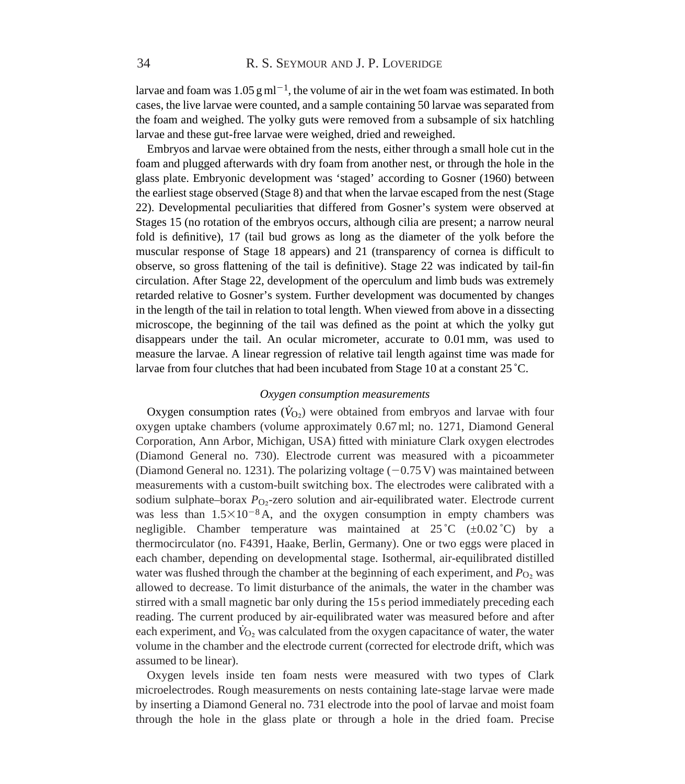larvae and foam was 1.05 g ml<sup>-1</sup>, the volume of air in the wet foam was estimated. In both cases, the live larvae were counted, and a sample containing 50 larvae was separated from the foam and weighed. The yolky guts were removed from a subsample of six hatchling larvae and these gut-free larvae were weighed, dried and reweighed.

Embryos and larvae were obtained from the nests, either through a small hole cut in the foam and plugged afterwards with dry foam from another nest, or through the hole in the glass plate. Embryonic development was 'staged' according to Gosner (1960) between the earliest stage observed (Stage 8) and that when the larvae escaped from the nest (Stage 22). Developmental peculiarities that differed from Gosner's system were observed at Stages 15 (no rotation of the embryos occurs, although cilia are present; a narrow neural fold is definitive), 17 (tail bud grows as long as the diameter of the yolk before the muscular response of Stage 18 appears) and 21 (transparency of cornea is difficult to observe, so gross flattening of the tail is definitive). Stage 22 was indicated by tail-fin circulation. After Stage 22, development of the operculum and limb buds was extremely retarded relative to Gosner's system. Further development was documented by changes in the length of the tail in relation to total length. When viewed from above in a dissecting microscope, the beginning of the tail was defined as the point at which the yolky gut disappears under the tail. An ocular micrometer, accurate to 0.01mm, was used to measure the larvae. A linear regression of relative tail length against time was made for larvae from four clutches that had been incubated from Stage 10 at a constant 25 ˚C.

# *Oxygen consumption measurements*

Oxygen consumption rates ( $\dot{V}_{\text{O}_2}$ ) were obtained from embryos and larvae with four oxygen uptake chambers (volume approximately 0.67ml; no. 1271, Diamond General Corporation, Ann Arbor, Michigan, USA) fitted with miniature Clark oxygen electrodes (Diamond General no. 730). Electrode current was measured with a picoammeter (Diamond General no. 1231). The polarizing voltage  $(-0.75 \text{ V})$  was maintained between measurements with a custom-built switching box. The electrodes were calibrated with a sodium sulphate–borax *P*<sub>O</sub><sub>2</sub>-zero solution and air-equilibrated water. Electrode current was less than  $1.5\times10^{-8}$  A, and the oxygen consumption in empty chambers was negligible. Chamber temperature was maintained at  $25^{\circ}$ C ( $\pm 0.02^{\circ}$ C) by a thermocirculator (no. F4391, Haake, Berlin, Germany). One or two eggs were placed in each chamber, depending on developmental stage. Isothermal, air-equilibrated distilled water was flushed through the chamber at the beginning of each experiment, and  $P_{\text{O}}$  was allowed to decrease. To limit disturbance of the animals, the water in the chamber was stirred with a small magnetic bar only during the 15 s period immediately preceding each reading. The current produced by air-equilibrated water was measured before and after each experiment, and  $\dot{V}_{\text{O}_2}$  was calculated from the oxygen capacitance of water, the water volume in the chamber and the electrode current (corrected for electrode drift, which was assumed to be linear).

Oxygen levels inside ten foam nests were measured with two types of Clark microelectrodes. Rough measurements on nests containing late-stage larvae were made by inserting a Diamond General no. 731 electrode into the pool of larvae and moist foam through the hole in the glass plate or through a hole in the dried foam. Precise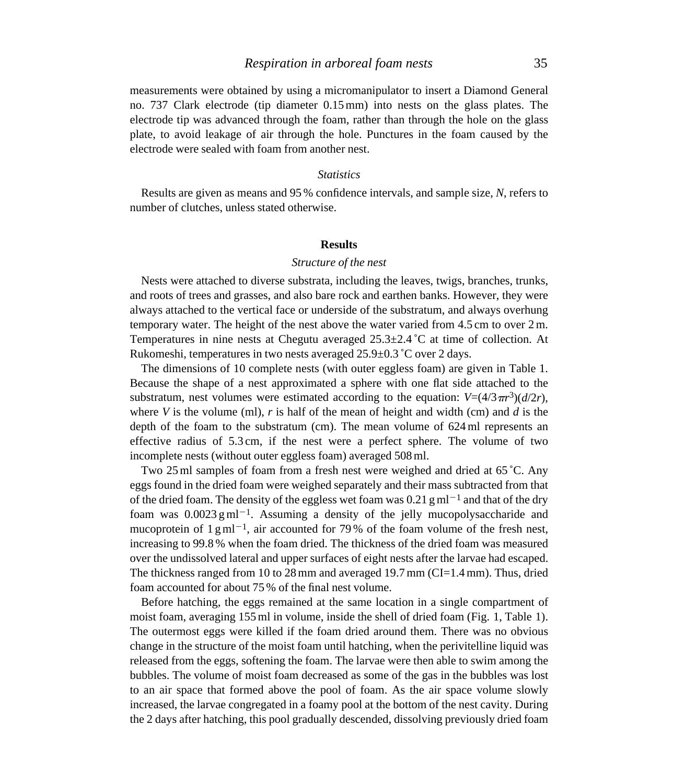measurements were obtained by using a micromanipulator to insert a Diamond General no. 737 Clark electrode (tip diameter 0.15mm) into nests on the glass plates. The electrode tip was advanced through the foam, rather than through the hole on the glass plate, to avoid leakage of air through the hole. Punctures in the foam caused by the electrode were sealed with foam from another nest.

# *Statistics*

Results are given as means and 95 % confidence intervals, and sample size, *N*, refers to number of clutches, unless stated otherwise.

# **Results**

# *Structure of the nest*

Nests were attached to diverse substrata, including the leaves, twigs, branches, trunks, and roots of trees and grasses, and also bare rock and earthen banks. However, they were always attached to the vertical face or underside of the substratum, and always overhung temporary water. The height of the nest above the water varied from 4.5 cm to over 2m. Temperatures in nine nests at Chegutu averaged 25.3±2.4 ˚C at time of collection. At Rukomeshi, temperatures in two nests averaged 25.9±0.3 ˚C over 2 days.

The dimensions of 10 complete nests (with outer eggless foam) are given in Table 1. Because the shape of a nest approximated a sphere with one flat side attached to the substratum, nest volumes were estimated according to the equation:  $V=(4/3\pi r^3)(d/2r)$ , where  $V$  is the volume (ml),  $r$  is half of the mean of height and width (cm) and  $d$  is the depth of the foam to the substratum (cm). The mean volume of 624ml represents an effective radius of 5.3 cm, if the nest were a perfect sphere. The volume of two incomplete nests (without outer eggless foam) averaged 508ml.

Two 25ml samples of foam from a fresh nest were weighed and dried at 65 ˚C. Any eggs found in the dried foam were weighed separately and their mass subtracted from that of the dried foam. The density of the eggless wet foam was 0.21 gml<sup>-1</sup> and that of the dry foam was  $0.0023 \text{ g} \text{ ml}^{-1}$ . Assuming a density of the jelly mucopolysaccharide and mucoprotein of  $1 \text{ g} \text{ ml}^{-1}$ , air accounted for 79% of the foam volume of the fresh nest, increasing to 99.8 % when the foam dried. The thickness of the dried foam was measured over the undissolved lateral and upper surfaces of eight nests after the larvae had escaped. The thickness ranged from 10 to 28mm and averaged 19.7mm (CI=1.4mm). Thus, dried foam accounted for about 75 % of the final nest volume.

Before hatching, the eggs remained at the same location in a single compartment of moist foam, averaging 155ml in volume, inside the shell of dried foam (Fig. 1, Table 1). The outermost eggs were killed if the foam dried around them. There was no obvious change in the structure of the moist foam until hatching, when the perivitelline liquid was released from the eggs, softening the foam. The larvae were then able to swim among the bubbles. The volume of moist foam decreased as some of the gas in the bubbles was lost to an air space that formed above the pool of foam. As the air space volume slowly increased, the larvae congregated in a foamy pool at the bottom of the nest cavity. During the 2 days after hatching, this pool gradually descended, dissolving previously dried foam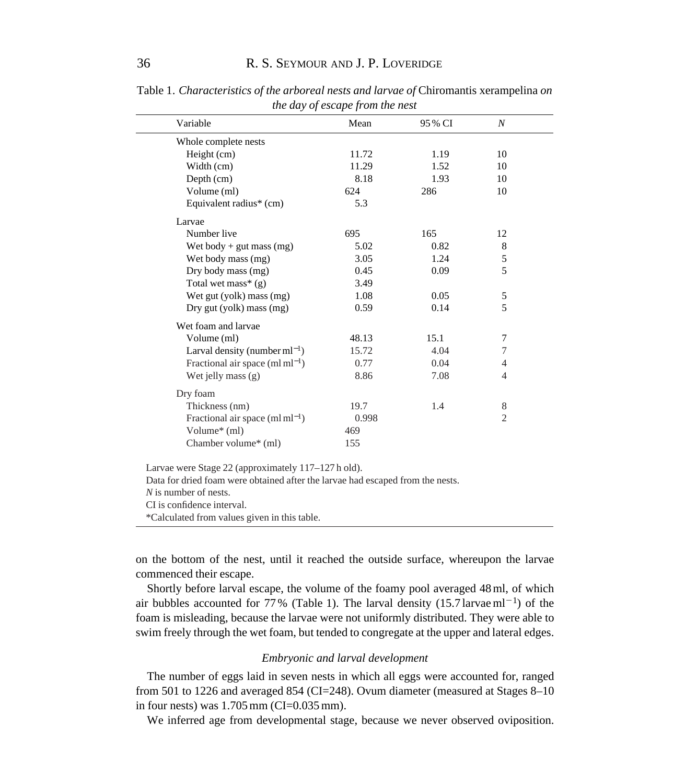| Variable                                   | Mean  | 95 % CI | $\boldsymbol{N}$ |
|--------------------------------------------|-------|---------|------------------|
| Whole complete nests                       |       |         |                  |
| Height (cm)                                | 11.72 | 1.19    | 10               |
| Width (cm)                                 | 11.29 | 1.52    | 10               |
| Depth (cm)                                 | 8.18  | 1.93    | 10               |
| Volume (ml)                                | 624   | 286     | 10               |
| Equivalent radius* (cm)                    | 5.3   |         |                  |
| Larvae                                     |       |         |                  |
| Number live                                | 695   | 165     | 12               |
| Wet body + gut mass $(mg)$                 | 5.02  | 0.82    | $\,8\,$          |
| Wet body mass (mg)                         | 3.05  | 1.24    | 5                |
| Dry body mass (mg)                         | 0.45  | 0.09    | 5                |
| Total wet mass* $(g)$                      | 3.49  |         |                  |
| Wet gut (yolk) mass (mg)                   | 1.08  | 0.05    | 5                |
| Dry gut (yolk) mass $(mg)$                 | 0.59  | 0.14    | 5                |
| Wet foam and larvae                        |       |         |                  |
| Volume (ml)                                | 48.13 | 15.1    | 7                |
| Larval density (number $ml^{-1}$ )         | 15.72 | 4.04    | 7                |
| Fractional air space $(\text{ml ml}^{-1})$ | 0.77  | 0.04    | 4                |
| Wet jelly mass $(g)$                       | 8.86  | 7.08    | 4                |
| Dry foam                                   |       |         |                  |
| Thickness (nm)                             | 19.7  | 1.4     | 8                |
| Fractional air space $(\text{ml ml}^{-1})$ | 0.998 |         | $\overline{2}$   |
| Volume* (ml)                               | 469   |         |                  |
| Chamber volume* (ml)                       | 155   |         |                  |

Table 1. *Characteristics of the arboreal nests and larvae of* Chiromantis xerampelina *on the day of escape from the nest*

Data for dried foam were obtained after the larvae had escaped from the nests.

*N* is number of nests.

CI is confidence interval.

\*Calculated from values given in this table.

on the bottom of the nest, until it reached the outside surface, whereupon the larvae commenced their escape.

Shortly before larval escape, the volume of the foamy pool averaged 48ml, of which air bubbles accounted for 77% (Table 1). The larval density  $(15.7 \text{ larvae} \text{ ml}^{-1})$  of the foam is misleading, because the larvae were not uniformly distributed. They were able to swim freely through the wet foam, but tended to congregate at the upper and lateral edges.

# *Embryonic and larval development*

The number of eggs laid in seven nests in which all eggs were accounted for, ranged from 501 to 1226 and averaged 854 (CI=248). Ovum diameter (measured at Stages 8–10 in four nests) was 1.705mm (CI=0.035mm).

We inferred age from developmental stage, because we never observed oviposition.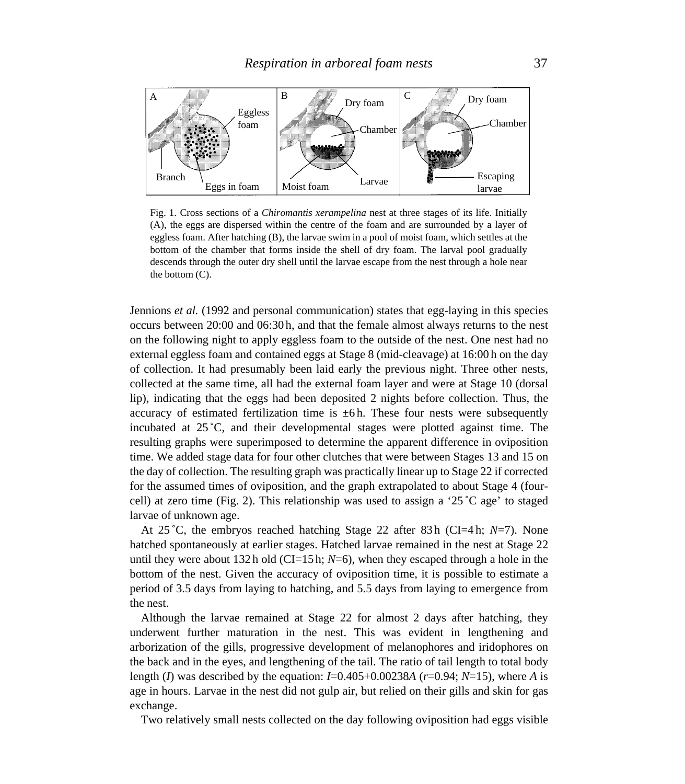

Fig. 1. Cross sections of a *Chiromantis xerampelina* nest at three stages of its life. Initially (A), the eggs are dispersed within the centre of the foam and are surrounded by a layer of eggless foam. After hatching (B), the larvae swim in a pool of moist foam, which settles at the bottom of the chamber that forms inside the shell of dry foam. The larval pool gradually descends through the outer dry shell until the larvae escape from the nest through a hole near the bottom (C).

Jennions *et al.* (1992 and personal communication) states that egg-laying in this species occurs between 20:00 and 06:30 h, and that the female almost always returns to the nest on the following night to apply eggless foam to the outside of the nest. One nest had no external eggless foam and contained eggs at Stage 8 (mid-cleavage) at 16:00 h on the day of collection. It had presumably been laid early the previous night. Three other nests, collected at the same time, all had the external foam layer and were at Stage 10 (dorsal lip), indicating that the eggs had been deposited 2 nights before collection. Thus, the accuracy of estimated fertilization time is  $\pm$ 6h. These four nests were subsequently incubated at 25 ˚C, and their developmental stages were plotted against time. The resulting graphs were superimposed to determine the apparent difference in oviposition time. We added stage data for four other clutches that were between Stages 13 and 15 on the day of collection. The resulting graph was practically linear up to Stage 22 if corrected for the assumed times of oviposition, and the graph extrapolated to about Stage 4 (fourcell) at zero time (Fig. 2). This relationship was used to assign a '25 °C age' to staged larvae of unknown age.

At 25 ˚C, the embryos reached hatching Stage 22 after 83 h (CI=4 h; *N*=7). None hatched spontaneously at earlier stages. Hatched larvae remained in the nest at Stage 22 until they were about 132 h old (CI=15 h;  $N=6$ ), when they escaped through a hole in the bottom of the nest. Given the accuracy of oviposition time, it is possible to estimate a period of 3.5 days from laying to hatching, and 5.5 days from laying to emergence from the nest.

Although the larvae remained at Stage 22 for almost 2 days after hatching, they underwent further maturation in the nest. This was evident in lengthening and arborization of the gills, progressive development of melanophores and iridophores on the back and in the eyes, and lengthening of the tail. The ratio of tail length to total body length (*I*) was described by the equation: *I*=0.405+0.00238*A* (*r*=0.94; *N*=15), where *A* is age in hours. Larvae in the nest did not gulp air, but relied on their gills and skin for gas exchange.

Two relatively small nests collected on the day following oviposition had eggs visible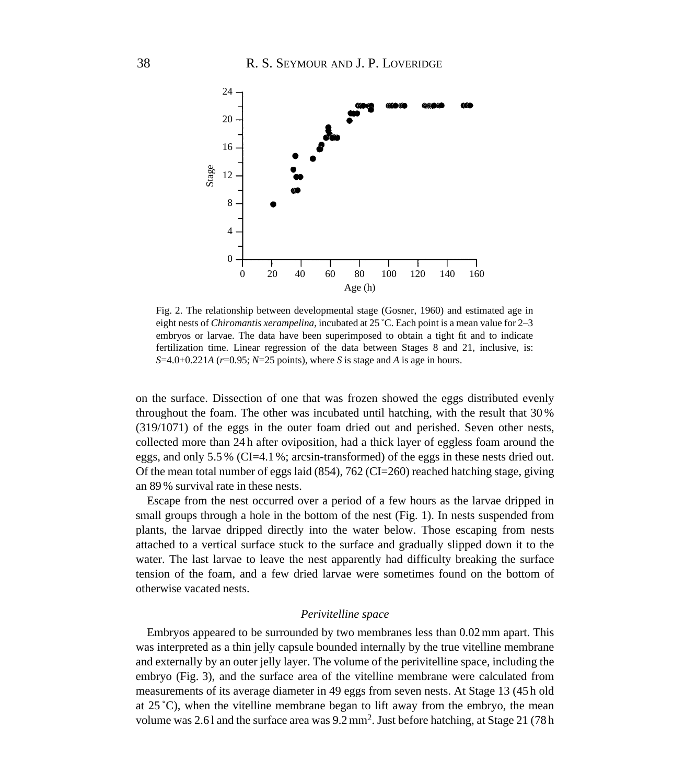

Fig. 2. The relationship between developmental stage (Gosner, 1960) and estimated age in eight nests of *Chiromantis xerampelina*, incubated at 25 ˚C. Each point is a mean value for 2–3 embryos or larvae. The data have been superimposed to obtain a tight fit and to indicate fertilization time. Linear regression of the data between Stages 8 and 21, inclusive, is: *S*=4.0+0.221*A* (*r*=0.95; *N*=25 points), where *S* is stage and *A* is age in hours.

on the surface. Dissection of one that was frozen showed the eggs distributed evenly throughout the foam. The other was incubated until hatching, with the result that 30 % (319/1071) of the eggs in the outer foam dried out and perished. Seven other nests, collected more than 24 h after oviposition, had a thick layer of eggless foam around the eggs, and only  $5.5\%$  (CI=4.1 %; arcsin-transformed) of the eggs in these nests dried out. Of the mean total number of eggs laid  $(854)$ , 762 (CI=260) reached hatching stage, giving an 89 % survival rate in these nests.

Escape from the nest occurred over a period of a few hours as the larvae dripped in small groups through a hole in the bottom of the nest (Fig. 1). In nests suspended from plants, the larvae dripped directly into the water below. Those escaping from nests attached to a vertical surface stuck to the surface and gradually slipped down it to the water. The last larvae to leave the nest apparently had difficulty breaking the surface tension of the foam, and a few dried larvae were sometimes found on the bottom of otherwise vacated nests.

# *Perivitelline space*

Embryos appeared to be surrounded by two membranes less than 0.02mm apart. This was interpreted as a thin jelly capsule bounded internally by the true vitelline membrane and externally by an outer jelly layer. The volume of the perivitelline space, including the embryo (Fig. 3), and the surface area of the vitelline membrane were calculated from measurements of its average diameter in 49 eggs from seven nests. At Stage 13 (45 h old at 25 ˚C), when the vitelline membrane began to lift away from the embryo, the mean volume was 2.6 l and the surface area was 9.2mm2. Just before hatching, at Stage 21 (78 h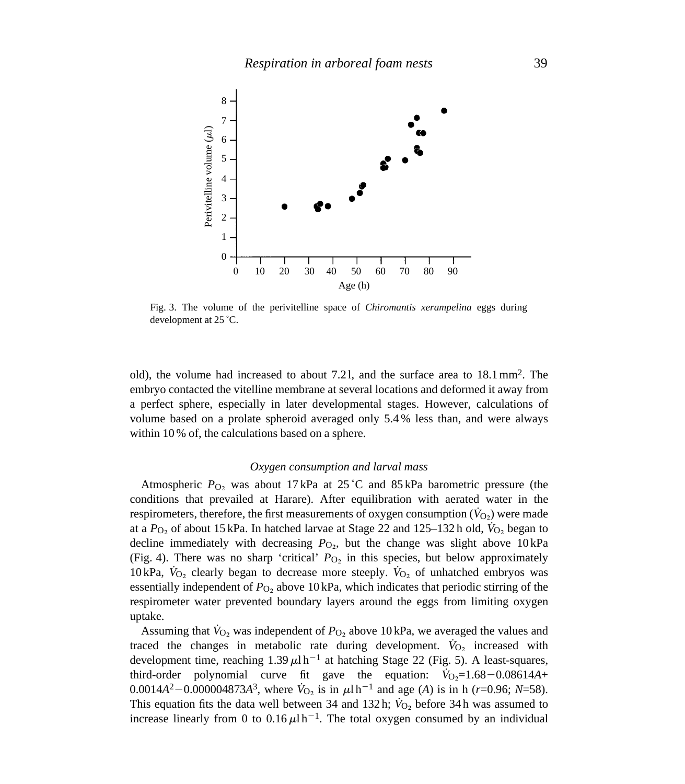

Fig. 3. The volume of the perivitelline space of *Chiromantis xerampelina* eggs during development at 25 ˚C.

old), the volume had increased to about 7.2 l, and the surface area to 18.1mm2. The embryo contacted the vitelline membrane at several locations and deformed it away from a perfect sphere, especially in later developmental stages. However, calculations of volume based on a prolate spheroid averaged only 5.4 % less than, and were always within 10% of, the calculations based on a sphere.

# *Oxygen consumption and larval mass*

Atmospheric *P*O∑ was about 17 kPa at 25 ˚C and 85 kPa barometric pressure (the conditions that prevailed at Harare). After equilibration with aerated water in the respirometers, therefore, the first measurements of oxygen consumption ( $\hat{V}_{\Omega}$ ) were made at a  $P_{\text{O}_2}$  of about 15 kPa. In hatched larvae at Stage 22 and 125–132 h old,  $\dot{V}_{\text{O}_2}$  began to decline immediately with decreasing  $P_{\text{O}_2}$ , but the change was slight above 10 kPa (Fig. 4). There was no sharp 'critical'  $P_{\text{O}_2}$  in this species, but below approximately 10 kPa,  $\dot{V}_{O_2}$  clearly began to decrease more steeply.  $\dot{V}_{O_2}$  of unhatched embryos was essentially independent of  $P_{\text{O}_2}$  above 10 kPa, which indicates that periodic stirring of the respirometer water prevented boundary layers around the eggs from limiting oxygen uptake.

Assuming that  $\dot{V}_{O_2}$  was independent of  $P_{O_2}$  above 10 kPa, we averaged the values and traced the changes in metabolic rate during development.  $\dot{V}_{O_2}$  increased with development time, reaching  $1.39 \mu h^{-1}$  at hatching Stage 22 (Fig. 5). A least-squares, third-order polynomial curve fit gave the equation:  $V_{\text{O}_2} = 1.68 - 0.08614A +$ 0.0014 $A^2$ –0.000004873 $A^3$ , where  $\dot{V}_{O_2}$  is in  $\mu$ l h<sup>-1</sup> and age (*A*) is in h (*r*=0.96; *N*=58). This equation fits the data well between 34 and 132 h;  $\dot{V}_{O_2}$  before 34 h was assumed to increase linearly from 0 to  $0.16 \mu h^{-1}$ . The total oxygen consumed by an individual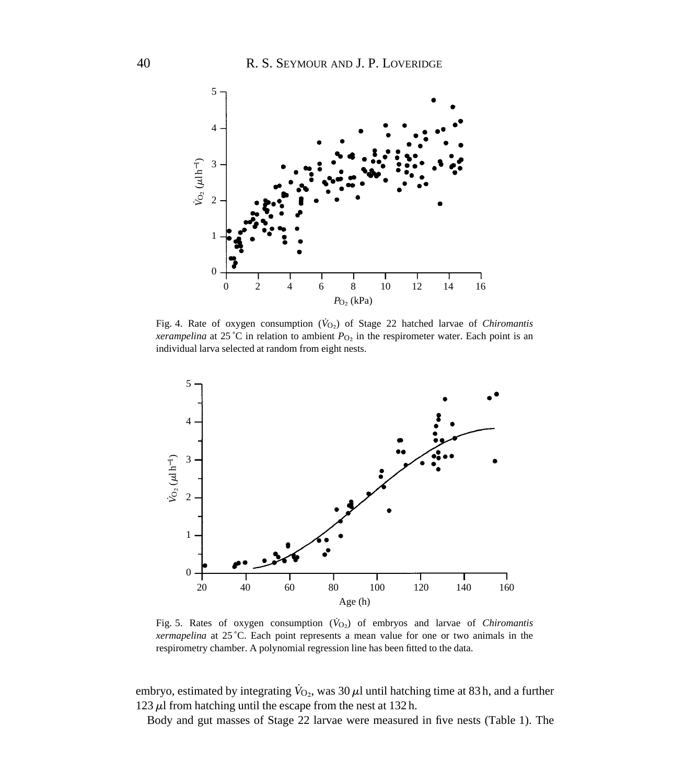

Fig. 4. Rate of oxygen consumption ( $\dot{V}_{O<sub>2</sub>}$ ) of Stage 22 hatched larvae of *Chiromantis xerampelina* at 25 °C in relation to ambient  $P<sub>O2</sub>$  in the respirometer water. Each point is an individual larva selected at random from eight nests.



Fig. 5. Rates of oxygen consumption  $(\dot{V}_{O<sub>2</sub>})$  of embryos and larvae of *Chiromantis xermapelina* at 25 ˚C. Each point represents a mean value for one or two animals in the respirometry chamber. A polynomial regression line has been fitted to the data.

embryo, estimated by integrating  $\dot{V}_{O_2}$ , was 30  $\mu$ l until hatching time at 83 h, and a further 123  $\mu$ l from hatching until the escape from the nest at 132 h.

Body and gut masses of Stage 22 larvae were measured in five nests (Table 1). The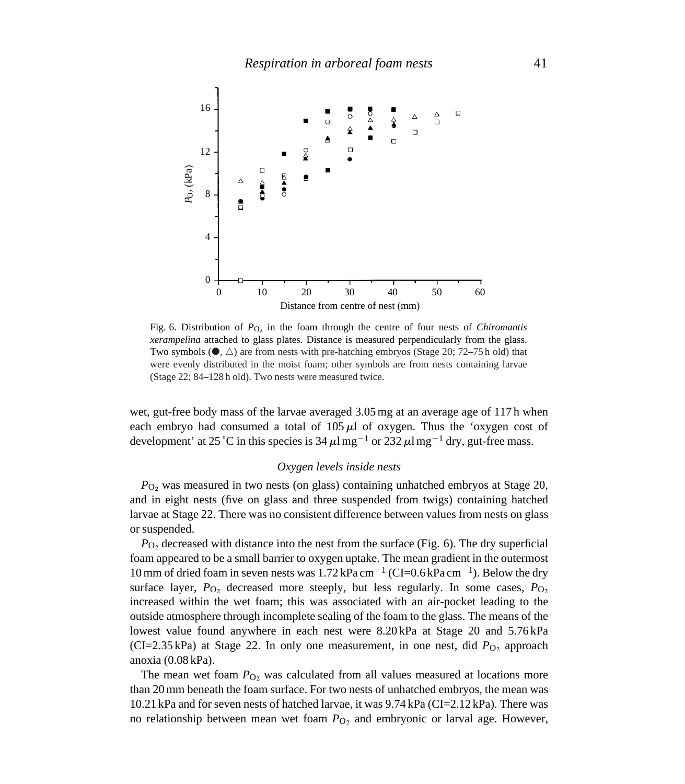

Fig. 6. Distribution of *P*<sub>O2</sub> in the foam through the centre of four nests of *Chiromantis xerampelina* attached to glass plates. Distance is measured perpendicularly from the glass. Two symbols  $(\bullet, \triangle)$  are from nests with pre-hatching embryos (Stage 20; 72–75 h old) that were evenly distributed in the moist foam; other symbols are from nests containing larvae (Stage 22; 84–128 h old). Two nests were measured twice.

wet, gut-free body mass of the larvae averaged 3.05mg at an average age of 117 h when each embryo had consumed a total of  $105 \mu l$  of oxygen. Thus the 'oxygen cost of development' at 25 °C in this species is 34  $\mu$ l mg<sup>-1</sup> or 232  $\mu$ l mg<sup>-1</sup> dry, gut-free mass.

#### *Oxygen levels inside nests*

*P*<sub>O2</sub> was measured in two nests (on glass) containing unhatched embryos at Stage 20, and in eight nests (five on glass and three suspended from twigs) containing hatched larvae at Stage 22. There was no consistent difference between values from nests on glass or suspended.

*P*<sub>O</sub> decreased with distance into the nest from the surface (Fig. 6). The dry superficial foam appeared to be a small barrier to oxygen uptake. The mean gradient in the outermost 10 mm of dried foam in seven nests was  $1.72 \text{ kPa cm}^{-1}$  (CI=0.6 kPa cm<sup>-1</sup>). Below the dry surface layer,  $P_{O_2}$  decreased more steeply, but less regularly. In some cases,  $P_{O_2}$ increased within the wet foam; this was associated with an air-pocket leading to the outside atmosphere through incomplete sealing of the foam to the glass. The means of the lowest value found anywhere in each nest were 8.20 kPa at Stage 20 and 5.76 kPa (CI=2.35 kPa) at Stage 22. In only one measurement, in one nest, did  $P_{\text{O}_2}$  approach anoxia (0.08 kPa).

The mean wet foam *P*<sub>O</sub>, was calculated from all values measured at locations more than 20mm beneath the foam surface. For two nests of unhatched embryos, the mean was 10.21 kPa and for seven nests of hatched larvae, it was 9.74 kPa (CI=2.12 kPa). There was no relationship between mean wet foam *P*<sub>O2</sub> and embryonic or larval age. However,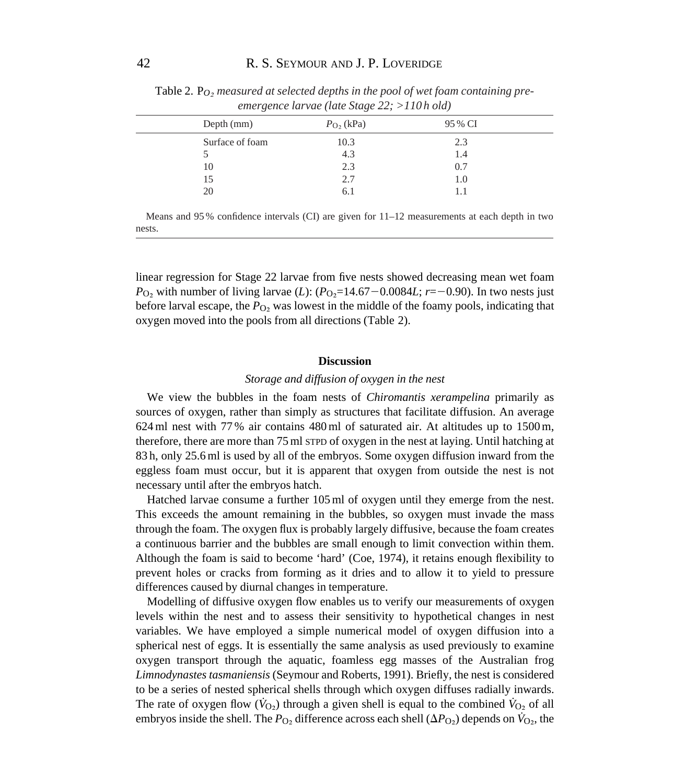| Depth (mm)      | $P_{\rm O_2}$ (kPa) | 95 % CI |  |
|-----------------|---------------------|---------|--|
| Surface of foam | 10.3                | 2.3     |  |
|                 | 4.3                 | 1.4     |  |
| 10              | 2.3                 | 0.7     |  |
| 15              | 2.7                 | 1.0     |  |
| 20              | 6.1                 |         |  |
|                 |                     |         |  |

Table 2. P<sub>O</sub>, measured at selected depths in the pool of wet foam containing pre*emergence larvae (late Stage 22; >110 h old)*

Means and 95 % confidence intervals (CI) are given for 11–12 measurements at each depth in two nests.

linear regression for Stage 22 larvae from five nests showed decreasing mean wet foam *P*<sub>O2</sub> with number of living larvae (*L*): (*P*<sub>O2</sub>=14.67-0.0084*L*; *r*=-0.90). In two nests just before larval escape, the  $P_{\text{O}_2}$  was lowest in the middle of the foamy pools, indicating that oxygen moved into the pools from all directions (Table 2).

#### **Discussion**

# *Storage and diffusion of oxygen in the nest*

We view the bubbles in the foam nests of *Chiromantis xerampelina* primarily as sources of oxygen, rather than simply as structures that facilitate diffusion. An average 624ml nest with 77 % air contains 480ml of saturated air. At altitudes up to 1500m, therefore, there are more than 75ml STPD of oxygen in the nest at laying. Until hatching at 83 h, only 25.6ml is used by all of the embryos. Some oxygen diffusion inward from the eggless foam must occur, but it is apparent that oxygen from outside the nest is not necessary until after the embryos hatch.

Hatched larvae consume a further 105ml of oxygen until they emerge from the nest. This exceeds the amount remaining in the bubbles, so oxygen must invade the mass through the foam. The oxygen flux is probably largely diffusive, because the foam creates a continuous barrier and the bubbles are small enough to limit convection within them. Although the foam is said to become 'hard' (Coe, 1974), it retains enough flexibility to prevent holes or cracks from forming as it dries and to allow it to yield to pressure differences caused by diurnal changes in temperature.

Modelling of diffusive oxygen flow enables us to verify our measurements of oxygen levels within the nest and to assess their sensitivity to hypothetical changes in nest variables. We have employed a simple numerical model of oxygen diffusion into a spherical nest of eggs. It is essentially the same analysis as used previously to examine oxygen transport through the aquatic, foamless egg masses of the Australian frog *Limnodynastes tasmaniensis* (Seymour and Roberts, 1991). Briefly, the nest is considered to be a series of nested spherical shells through which oxygen diffuses radially inwards. The rate of oxygen flow ( $\dot{V}_{O_2}$ ) through a given shell is equal to the combined  $\dot{V}_{O_2}$  of all embryos inside the shell. The  $P_{\text{O}_2}$  difference across each shell ( $\Delta P_{\text{O}_2}$ ) depends on  $\dot{V}_{\text{O}_2}$ , the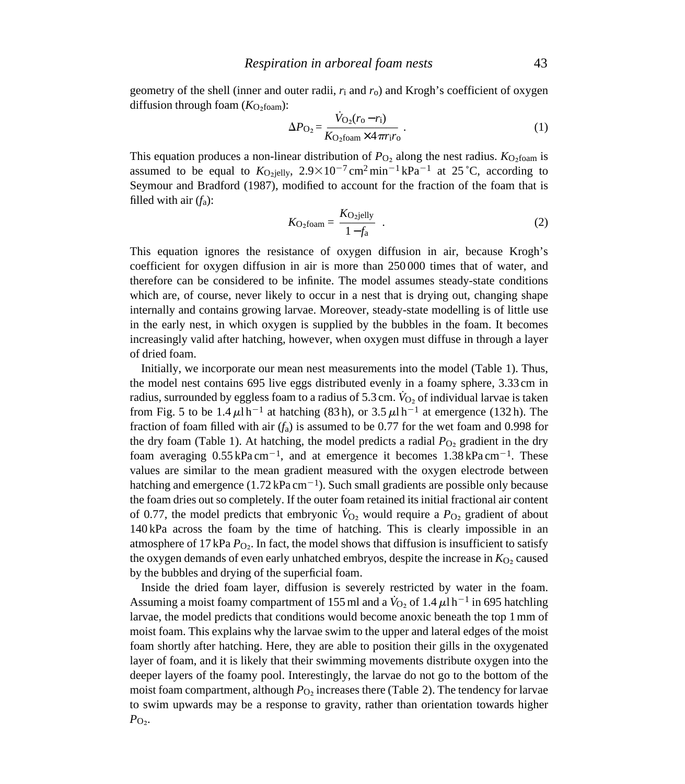geometry of the shell (inner and outer radii, *r*i and *r*o) and Krogh's coefficient of oxygen diffusion through foam  $(K<sub>O</sub>$ <sub>foam</sub>):

$$
\Delta P_{\rm O_2} = \frac{\dot{V}_{\rm O_2}(r_{\rm O} - r_{\rm i})}{K_{\rm O_2foam} \times 4 \pi r_{\rm i} r_{\rm o}} \,. \tag{1}
$$

This equation produces a non-linear distribution of  $P_{\text{O}_2}$  along the nest radius.  $K_{\text{O}_2 \text{foam}}$  is assumed to be equal to  $K_{\text{O}_2}$ jelly,  $2.9 \times 10^{-7}$  cm<sup>2</sup>min<sup>-1</sup> kPa<sup>-1</sup> at 25 °C, according to Seymour and Bradford (1987), modified to account for the fraction of the foam that is filled with air (*f*a):

$$
K_{\text{O}_2 \text{foam}} = \frac{K_{\text{O}_2 \text{jelly}}}{1 - f_a} \quad . \tag{2}
$$

This equation ignores the resistance of oxygen diffusion in air, because Krogh's coefficient for oxygen diffusion in air is more than 250 000 times that of water, and therefore can be considered to be infinite. The model assumes steady-state conditions which are, of course, never likely to occur in a nest that is drying out, changing shape internally and contains growing larvae. Moreover, steady-state modelling is of little use in the early nest, in which oxygen is supplied by the bubbles in the foam. It becomes increasingly valid after hatching, however, when oxygen must diffuse in through a layer of dried foam.

Initially, we incorporate our mean nest measurements into the model (Table 1). Thus, the model nest contains 695 live eggs distributed evenly in a foamy sphere, 3.33 cm in radius, surrounded by eggless foam to a radius of 5.3 cm.  $\dot{V}_{Q_2}$  of individual larvae is taken from Fig. 5 to be  $1.4 \mu l \text{ h}^{-1}$  at hatching (83 h), or 3.5  $\mu l \text{ h}^{-1}$  at emergence (132 h). The fraction of foam filled with air (*f*a) is assumed to be 0.77 for the wet foam and 0.998 for the dry foam (Table 1). At hatching, the model predicts a radial  $P_{\text{O}_2}$  gradient in the dry foam averaging  $0.55 \text{ kPa cm}^{-1}$ , and at emergence it becomes  $1.38 \text{ kPa cm}^{-1}$ . These values are similar to the mean gradient measured with the oxygen electrode between hatching and emergence  $(1.72 \text{ kPa cm}^{-1})$ . Such small gradients are possible only because the foam dries out so completely. If the outer foam retained its initial fractional air content of 0.77, the model predicts that embryonic  $V_{\text{O}_2}$  would require a  $P_{\text{O}_2}$  gradient of about 140 kPa across the foam by the time of hatching. This is clearly impossible in an atmosphere of 17 kPa  $P_{\text{O}_2}$ . In fact, the model shows that diffusion is insufficient to satisfy the oxygen demands of even early unhatched embryos, despite the increase in  $K_{\text{O}_2}$  caused by the bubbles and drying of the superficial foam.

Inside the dried foam layer, diffusion is severely restricted by water in the foam. Assuming a moist foamy compartment of 155 ml and a  $\dot{V}_{O_2}$  of 1.4  $\mu$ l h<sup>-1</sup> in 695 hatchling larvae, the model predicts that conditions would become anoxic beneath the top 1mm of moist foam. This explains why the larvae swim to the upper and lateral edges of the moist foam shortly after hatching. Here, they are able to position their gills in the oxygenated layer of foam, and it is likely that their swimming movements distribute oxygen into the deeper layers of the foamy pool. Interestingly, the larvae do not go to the bottom of the moist foam compartment, although  $P_{\text{O}_2}$  increases there (Table 2). The tendency for larvae to swim upwards may be a response to gravity, rather than orientation towards higher  $P_{\text{O}_2}$ .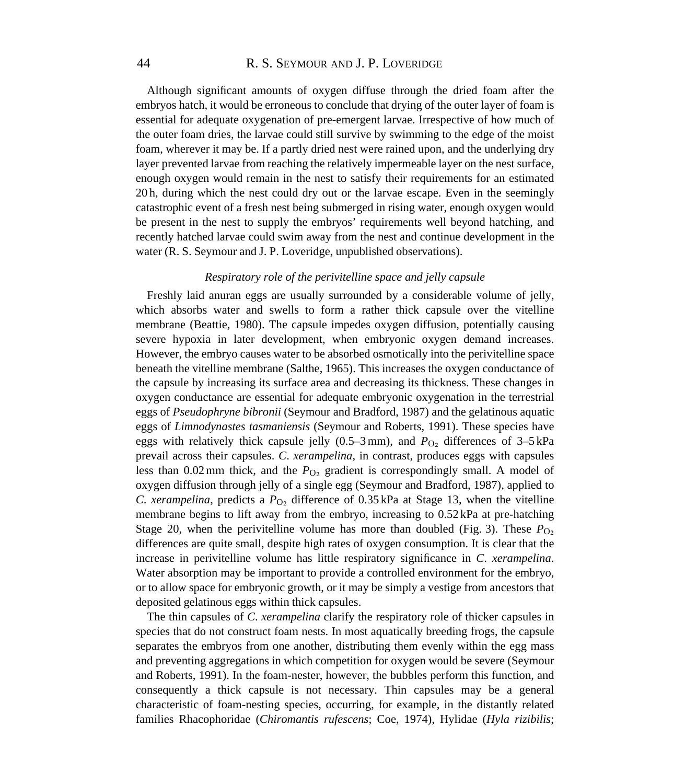Although significant amounts of oxygen diffuse through the dried foam after the embryos hatch, it would be erroneous to conclude that drying of the outer layer of foam is essential for adequate oxygenation of pre-emergent larvae. Irrespective of how much of the outer foam dries, the larvae could still survive by swimming to the edge of the moist foam, wherever it may be. If a partly dried nest were rained upon, and the underlying dry layer prevented larvae from reaching the relatively impermeable layer on the nest surface, enough oxygen would remain in the nest to satisfy their requirements for an estimated 20 h, during which the nest could dry out or the larvae escape. Even in the seemingly catastrophic event of a fresh nest being submerged in rising water, enough oxygen would be present in the nest to supply the embryos' requirements well beyond hatching, and recently hatched larvae could swim away from the nest and continue development in the water (R. S. Seymour and J. P. Loveridge, unpublished observations).

#### *Respiratory role of the perivitelline space and jelly capsule*

Freshly laid anuran eggs are usually surrounded by a considerable volume of jelly, which absorbs water and swells to form a rather thick capsule over the vitelline membrane (Beattie, 1980). The capsule impedes oxygen diffusion, potentially causing severe hypoxia in later development, when embryonic oxygen demand increases. However, the embryo causes water to be absorbed osmotically into the perivitelline space beneath the vitelline membrane (Salthe, 1965). This increases the oxygen conductance of the capsule by increasing its surface area and decreasing its thickness. These changes in oxygen conductance are essential for adequate embryonic oxygenation in the terrestrial eggs of *Pseudophryne bibronii* (Seymour and Bradford, 1987) and the gelatinous aquatic eggs of *Limnodynastes tasmaniensis* (Seymour and Roberts, 1991). These species have eggs with relatively thick capsule jelly  $(0.5–3 \text{ mm})$ , and  $P_{\text{O}}$  differences of  $3–5 \text{ kPa}$ prevail across their capsules. *C*. *xerampelina*, in contrast, produces eggs with capsules less than  $0.02$  mm thick, and the  $P_{\text{O}_2}$  gradient is correspondingly small. A model of oxygen diffusion through jelly of a single egg (Seymour and Bradford, 1987), applied to *C. xerampelina*, predicts a  $P_{\text{O}_2}$  difference of 0.35 kPa at Stage 13, when the vitelline membrane begins to lift away from the embryo, increasing to 0.52 kPa at pre-hatching Stage 20, when the perivitelline volume has more than doubled (Fig. 3). These  $P_{\text{O}_2}$ differences are quite small, despite high rates of oxygen consumption. It is clear that the increase in perivitelline volume has little respiratory significance in *C*. *xerampelina*. Water absorption may be important to provide a controlled environment for the embryo, or to allow space for embryonic growth, or it may be simply a vestige from ancestors that deposited gelatinous eggs within thick capsules.

The thin capsules of *C*. *xerampelina* clarify the respiratory role of thicker capsules in species that do not construct foam nests. In most aquatically breeding frogs, the capsule separates the embryos from one another, distributing them evenly within the egg mass and preventing aggregations in which competition for oxygen would be severe (Seymour and Roberts, 1991). In the foam-nester, however, the bubbles perform this function, and consequently a thick capsule is not necessary. Thin capsules may be a general characteristic of foam-nesting species, occurring, for example, in the distantly related families Rhacophoridae (*Chiromantis rufescens*; Coe, 1974), Hylidae (*Hyla rizibilis*;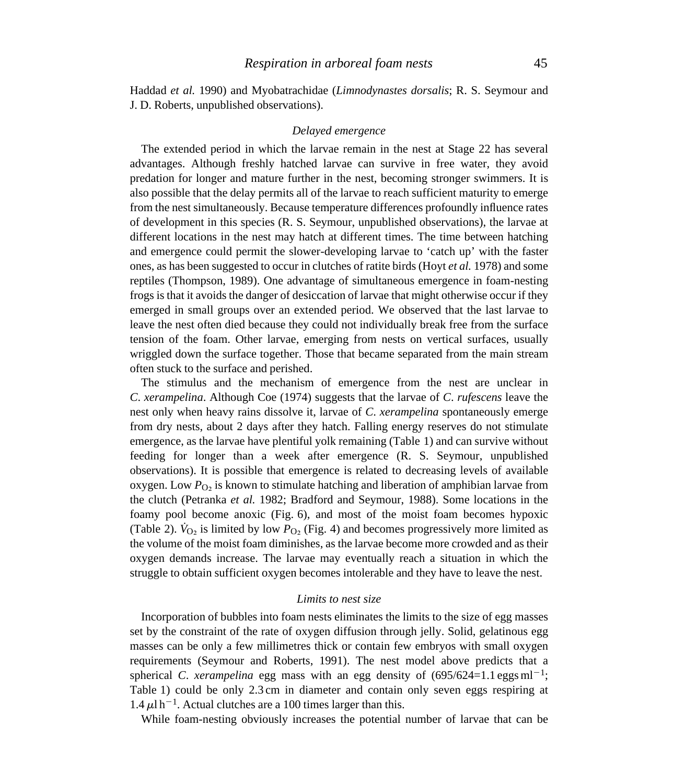Haddad *et al.* 1990) and Myobatrachidae (*Limnodynastes dorsalis*; R. S. Seymour and J. D. Roberts, unpublished observations).

# *Delayed emergence*

The extended period in which the larvae remain in the nest at Stage 22 has several advantages. Although freshly hatched larvae can survive in free water, they avoid predation for longer and mature further in the nest, becoming stronger swimmers. It is also possible that the delay permits all of the larvae to reach sufficient maturity to emerge from the nest simultaneously. Because temperature differences profoundly influence rates of development in this species (R. S. Seymour, unpublished observations), the larvae at different locations in the nest may hatch at different times. The time between hatching and emergence could permit the slower-developing larvae to 'catch up' with the faster ones, as has been suggested to occur in clutches of ratite birds (Hoyt *et al.* 1978) and some reptiles (Thompson, 1989). One advantage of simultaneous emergence in foam-nesting frogs is that it avoids the danger of desiccation of larvae that might otherwise occur if they emerged in small groups over an extended period. We observed that the last larvae to leave the nest often died because they could not individually break free from the surface tension of the foam. Other larvae, emerging from nests on vertical surfaces, usually wriggled down the surface together. Those that became separated from the main stream often stuck to the surface and perished.

The stimulus and the mechanism of emergence from the nest are unclear in *C*. *xerampelina*. Although Coe (1974) suggests that the larvae of *C*. *rufescens* leave the nest only when heavy rains dissolve it, larvae of *C*. *xerampelina* spontaneously emerge from dry nests, about 2 days after they hatch. Falling energy reserves do not stimulate emergence, as the larvae have plentiful yolk remaining (Table 1) and can survive without feeding for longer than a week after emergence (R. S. Seymour, unpublished observations). It is possible that emergence is related to decreasing levels of available oxygen. Low  $P<sub>O<sub>2</sub></sub>$  is known to stimulate hatching and liberation of amphibian larvae from the clutch (Petranka *et al.* 1982; Bradford and Seymour, 1988). Some locations in the foamy pool become anoxic (Fig. 6), and most of the moist foam becomes hypoxic (Table 2).  $V_{\text{O}}$ , is limited by low  $P_{\text{O}}$ , (Fig. 4) and becomes progressively more limited as the volume of the moist foam diminishes, as the larvae become more crowded and as their oxygen demands increase. The larvae may eventually reach a situation in which the struggle to obtain sufficient oxygen becomes intolerable and they have to leave the nest.

# *Limits to nest size*

Incorporation of bubbles into foam nests eliminates the limits to the size of egg masses set by the constraint of the rate of oxygen diffusion through jelly. Solid, gelatinous egg masses can be only a few millimetres thick or contain few embryos with small oxygen requirements (Seymour and Roberts, 1991). The nest model above predicts that a spherical *C. xerampelina* egg mass with an egg density of  $(695/624=1.1 \text{ eggs ml}^{-1})$ ; Table 1) could be only 2.3 cm in diameter and contain only seven eggs respiring at  $1.4 \mu$ l h<sup>-1</sup>. Actual clutches are a 100 times larger than this.

While foam-nesting obviously increases the potential number of larvae that can be